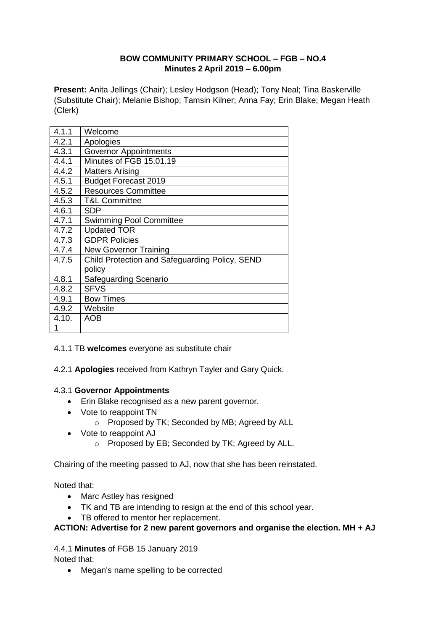### **BOW COMMUNITY PRIMARY SCHOOL – FGB – NO.4 Minutes 2 April 2019 – 6.00pm**

**Present:** Anita Jellings (Chair); Lesley Hodgson (Head); Tony Neal; Tina Baskerville (Substitute Chair); Melanie Bishop; Tamsin Kilner; Anna Fay; Erin Blake; Megan Heath (Clerk)

| 4.1.1 | Welcome                                        |
|-------|------------------------------------------------|
| 4.2.1 | Apologies                                      |
| 4.3.1 | <b>Governor Appointments</b>                   |
| 4.4.1 | Minutes of FGB 15.01.19                        |
| 4.4.2 | <b>Matters Arising</b>                         |
| 4.5.1 | <b>Budget Forecast 2019</b>                    |
| 4.5.2 | <b>Resources Committee</b>                     |
| 4.5.3 | <b>T&amp;L Committee</b>                       |
| 4.6.1 | <b>SDP</b>                                     |
| 4.7.1 | <b>Swimming Pool Committee</b>                 |
| 4.7.2 | <b>Updated TOR</b>                             |
| 4.7.3 | <b>GDPR Policies</b>                           |
| 4.7.4 | <b>New Governor Training</b>                   |
| 4.7.5 | Child Protection and Safeguarding Policy, SEND |
|       | policy                                         |
| 4.8.1 | Safeguarding Scenario                          |
| 4.8.2 | <b>SFVS</b>                                    |
| 4.9.1 | <b>Bow Times</b>                               |
| 4.9.2 | Website                                        |
| 4.10. | AOB                                            |
| 1     |                                                |

4.1.1 TB **welcomes** everyone as substitute chair

4.2.1 **Apologies** received from Kathryn Tayler and Gary Quick.

### 4.3.1 **Governor Appointments**

- Erin Blake recognised as a new parent governor.
- Vote to reappoint TN
	- o Proposed by TK; Seconded by MB; Agreed by ALL
- Vote to reappoint AJ
	- o Proposed by EB; Seconded by TK; Agreed by ALL.

Chairing of the meeting passed to AJ, now that she has been reinstated.

Noted that:

- Marc Astley has resigned
- TK and TB are intending to resign at the end of this school year.
- TB offered to mentor her replacement.

#### **ACTION: Advertise for 2 new parent governors and organise the election. MH + AJ**

### 4.4.1 **Minutes** of FGB 15 January 2019

Noted that:

• Megan's name spelling to be corrected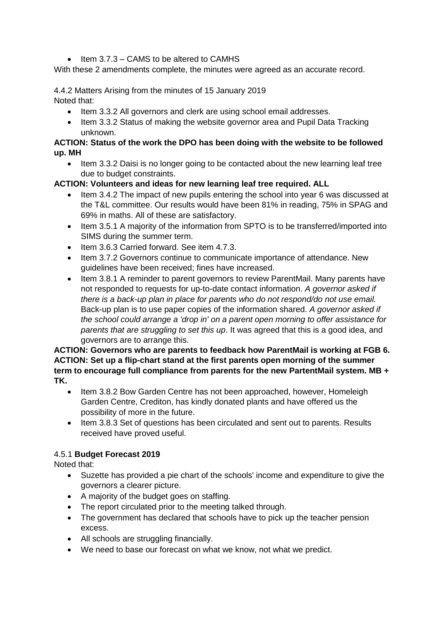$\bullet$  Item 3.7.3 – CAMS to be altered to CAMHS

With these 2 amendments complete, the minutes were agreed as an accurate record.

4.4.2 Matters Arising from the minutes of 15 January 2019 Noted that:

- Item 3.3.2 All governors and clerk are using school email addresses.
- Item 3.3.2 Status of making the website governor area and Pupil Data Tracking unknown.

#### **ACTION: Status of the work the DPO has been doing with the website to be followed up. MH**

• Item 3.3.2 Daisi is no longer going to be contacted about the new learning leaf tree due to budget constraints.

#### **ACTION: Volunteers and ideas for new learning leaf tree required. ALL**

- Item 3.4.2 The impact of new pupils entering the school into year 6 was discussed at the T&L committee. Our results would have been 81% in reading, 75% in SPAG and 69% in maths. All of these are satisfactory.
- Item 3.5.1 A majority of the information from SPTO is to be transferred/imported into SIMS during the summer term.
- Item 3.6.3 Carried forward. See item 4.7.3.
- Item 3.7.2 Governors continue to communicate importance of attendance. New guidelines have been received; fines have increased.
- Item 3.8.1 A reminder to parent governors to review ParentMail. Many parents have not responded to requests for up-to-date contact information. *A governor asked if there is a back-up plan in place for parents who do not respond/do not use email.* Back-up plan is to use paper copies of the information shared. *A governor asked if the school could arrange a 'drop in' on a parent open morning to offer assistance for parents that are struggling to set this up*. It was agreed that this is a good idea, and governors are to arrange this.

#### **ACTION: Governors who are parents to feedback how ParentMail is working at FGB 6. ACTION: Set up a flip-chart stand at the first parents open morning of the summer term to encourage full compliance from parents for the new PartentMail system. MB + TK.**

- Item 3.8.2 Bow Garden Centre has not been approached, however, Homeleigh Garden Centre, Crediton, has kindly donated plants and have offered us the possibility of more in the future.
- Item 3.8.3 Set of questions has been circulated and sent out to parents. Results received have proved useful.

### 4.5.1 **Budget Forecast 2019**

Noted that:

- Suzette has provided a pie chart of the schools' income and expenditure to give the governors a clearer picture.
- A majority of the budget goes on staffing.
- The report circulated prior to the meeting talked through.
- The government has declared that schools have to pick up the teacher pension excess.
- All schools are struggling financially.
- We need to base our forecast on what we know, not what we predict.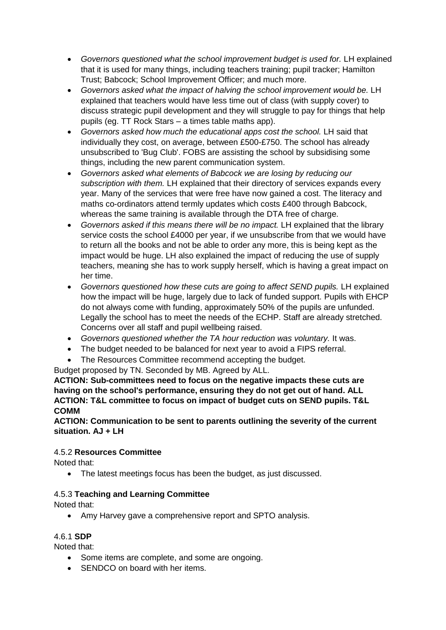- *Governors questioned what the school improvement budget is used for.* LH explained that it is used for many things, including teachers training; pupil tracker; Hamilton Trust; Babcock; School Improvement Officer; and much more.
- *Governors asked what the impact of halving the school improvement would be.* LH explained that teachers would have less time out of class (with supply cover) to discuss strategic pupil development and they will struggle to pay for things that help pupils (eg. TT Rock Stars – a times table maths app).
- Governors asked how much the educational apps cost the school. LH said that individually they cost, on average, between £500-£750. The school has already unsubscribed to 'Bug Club'. FOBS are assisting the school by subsidising some things, including the new parent communication system.
- *Governors asked what elements of Babcock we are losing by reducing our subscription with them.* LH explained that their directory of services expands every year. Many of the services that were free have now gained a cost. The literacy and maths co-ordinators attend termly updates which costs £400 through Babcock, whereas the same training is available through the DTA free of charge.
- *Governors asked if this means there will be no impact.* LH explained that the library service costs the school £4000 per year, if we unsubscribe from that we would have to return all the books and not be able to order any more, this is being kept as the impact would be huge. LH also explained the impact of reducing the use of supply teachers, meaning she has to work supply herself, which is having a great impact on her time.
- *Governors questioned how these cuts are going to affect SEND pupils.* LH explained how the impact will be huge, largely due to lack of funded support. Pupils with EHCP do not always come with funding, approximately 50% of the pupils are unfunded. Legally the school has to meet the needs of the ECHP. Staff are already stretched. Concerns over all staff and pupil wellbeing raised.
- *Governors questioned whether the TA hour reduction was voluntary.* It was.
- The budget needed to be balanced for next year to avoid a FIPS referral.
- The Resources Committee recommend accepting the budget.

Budget proposed by TN. Seconded by MB. Agreed by ALL.

**ACTION: Sub-committees need to focus on the negative impacts these cuts are having on the school's performance, ensuring they do not get out of hand. ALL ACTION: T&L committee to focus on impact of budget cuts on SEND pupils. T&L COMM**

**ACTION: Communication to be sent to parents outlining the severity of the current situation. AJ + LH**

### 4.5.2 **Resources Committee**

Noted that:

• The latest meetings focus has been the budget, as just discussed.

### 4.5.3 **Teaching and Learning Committee**

Noted that:

Amy Harvey gave a comprehensive report and SPTO analysis.

### 4.6.1 **SDP**

Noted that:

- Some items are complete, and some are ongoing.
- SENDCO on board with her items.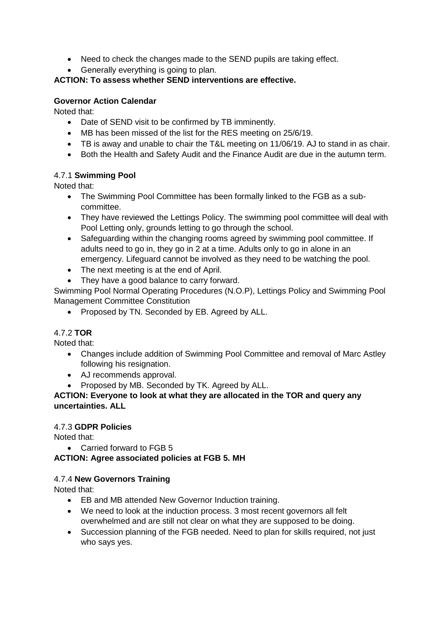- Need to check the changes made to the SEND pupils are taking effect.
- Generally everything is going to plan.

## **ACTION: To assess whether SEND interventions are effective.**

### **Governor Action Calendar**

Noted that:

- Date of SEND visit to be confirmed by TB imminently.
- MB has been missed of the list for the RES meeting on 25/6/19.
- TB is away and unable to chair the T&L meeting on 11/06/19. AJ to stand in as chair.
- Both the Health and Safety Audit and the Finance Audit are due in the autumn term.

### 4.7.1 **Swimming Pool**

Noted that:

- The Swimming Pool Committee has been formally linked to the FGB as a subcommittee.
- They have reviewed the Lettings Policy. The swimming pool committee will deal with Pool Letting only, grounds letting to go through the school.
- Safeguarding within the changing rooms agreed by swimming pool committee. If adults need to go in, they go in 2 at a time. Adults only to go in alone in an emergency. Lifeguard cannot be involved as they need to be watching the pool.
- The next meeting is at the end of April.
- They have a good balance to carry forward.

Swimming Pool Normal Operating Procedures (N.O.P), Lettings Policy and Swimming Pool Management Committee Constitution

• Proposed by TN. Seconded by EB. Agreed by ALL.

### 4.7.2 **TOR**

Noted that:

- Changes include addition of Swimming Pool Committee and removal of Marc Astley following his resignation.
- AJ recommends approval.
- Proposed by MB. Seconded by TK. Agreed by ALL.

## **ACTION: Everyone to look at what they are allocated in the TOR and query any uncertainties. ALL**

### 4.7.3 **GDPR Policies**

Noted that:

• Carried forward to FGB 5

**ACTION: Agree associated policies at FGB 5. MH**

### 4.7.4 **New Governors Training**

Noted that:

- EB and MB attended New Governor Induction training.
- We need to look at the induction process. 3 most recent governors all felt overwhelmed and are still not clear on what they are supposed to be doing.
- Succession planning of the FGB needed. Need to plan for skills required, not just who says yes.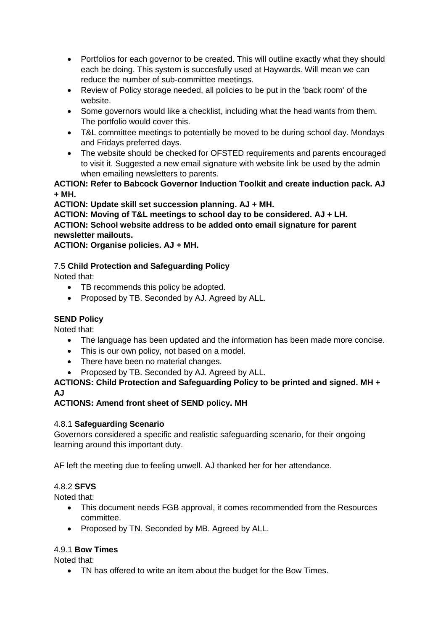- Portfolios for each governor to be created. This will outline exactly what they should each be doing. This system is succesfully used at Haywards. Will mean we can reduce the number of sub-committee meetings.
- Review of Policy storage needed, all policies to be put in the 'back room' of the website.
- Some governors would like a checklist, including what the head wants from them. The portfolio would cover this.
- T&L committee meetings to potentially be moved to be during school day. Mondays and Fridays preferred days.
- The website should be checked for OFSTED requirements and parents encouraged to visit it. Suggested a new email signature with website link be used by the admin when emailing newsletters to parents.

## **ACTION: Refer to Babcock Governor Induction Toolkit and create induction pack. AJ + MH.**

## **ACTION: Update skill set succession planning. AJ + MH.**

**ACTION: Moving of T&L meetings to school day to be considered. AJ + LH. ACTION: School website address to be added onto email signature for parent newsletter mailouts.** 

**ACTION: Organise policies. AJ + MH.**

7.5 **Child Protection and Safeguarding Policy**

Noted that:

- TB recommends this policy be adopted.
- Proposed by TB. Seconded by AJ. Agreed by ALL.

# **SEND Policy**

Noted that:

- The language has been updated and the information has been made more concise.
- This is our own policy, not based on a model.
- There have been no material changes.
- Proposed by TB. Seconded by AJ. Agreed by ALL.

### **ACTIONS: Child Protection and Safeguarding Policy to be printed and signed. MH + AJ**

### **ACTIONS: Amend front sheet of SEND policy. MH**

### 4.8.1 **Safeguarding Scenario**

Governors considered a specific and realistic safeguarding scenario, for their ongoing learning around this important duty.

AF left the meeting due to feeling unwell. AJ thanked her for her attendance.

### 4.8.2 **SFVS**

Noted that:

- This document needs FGB approval, it comes recommended from the Resources committee.
- Proposed by TN. Seconded by MB. Agreed by ALL.

### 4.9.1 **Bow Times**

Noted that:

• TN has offered to write an item about the budget for the Bow Times.